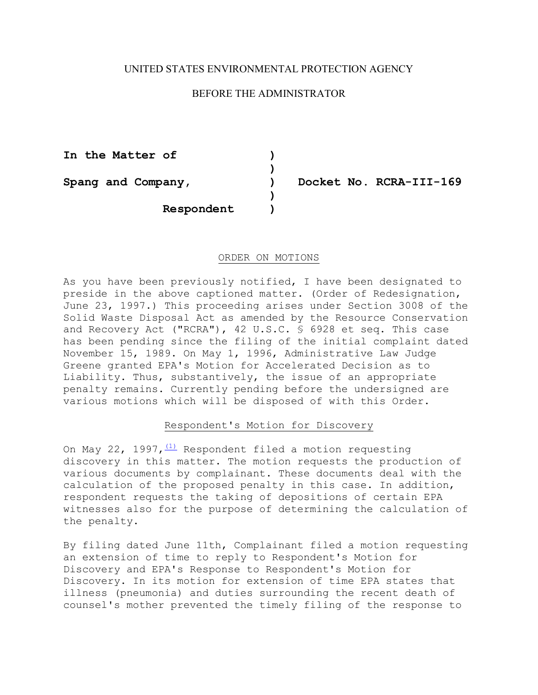# UNITED STATES ENVIRONMENTAL PROTECTION AGENCY

# BEFORE THE ADMINISTRATOR

**)** 

**)** 

**In the Matter of )** 

Spang and Company,  $\rule{1em}{0.15mm}$  Docket No. RCRA-III-169

**Respondent )** 

#### ORDER ON MOTIONS

As you have been previously notified, I have been designated to preside in the above captioned matter. (Order of Redesignation, June 23, 1997.) This proceeding arises under Section 3008 of the Solid Waste Disposal Act as amended by the Resource Conservation and Recovery Act ("RCRA"), 42 U.S.C. § 6928 et seq. This case has been pending since the filing of the initial complaint dated November 15, 1989. On May 1, 1996, Administrative Law Judge Greene granted EPA's Motion for Accelerated Decision as to Liability. Thus, substantively, the issue of an appropriate penalty remains. Currently pending before the undersigned are various motions which will be disposed of with this Order.

## Respondent's Motion for Discovery

On May 22, 1997,  $\frac{(1)}{(1)}$  Respondent filed a motion requesting discovery in this matter. The motion requests the production of various documents by complainant. These documents deal with the calculation of the proposed penalty in this case. In addition, respondent requests the taking of depositions of certain EPA witnesses also for the purpose of determining the calculation of the penalty.

By filing dated June 11th, Complainant filed a motion requesting an extension of time to reply to Respondent's Motion for Discovery and EPA's Response to Respondent's Motion for Discovery. In its motion for extension of time EPA states that illness (pneumonia) and duties surrounding the recent death of counsel's mother prevented the timely filing of the response to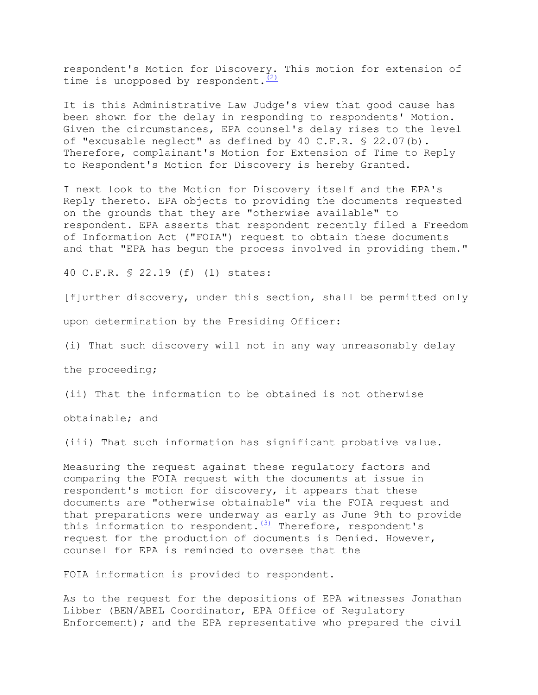respondent's Motion for Discovery. This motion for extension of time is unopposed by respondent. $\frac{(2)}{2}$ 

It is this Administrative Law Judge's view that good cause has been shown for the delay in responding to respondents' Motion. Given the circumstances, EPA counsel's delay rises to the level of "excusable neglect" as defined by 40 C.F.R. § 22.07(b). Therefore, complainant's Motion for Extension of Time to Reply to Respondent's Motion for Discovery is hereby Granted.

I next look to the Motion for Discovery itself and the EPA's Reply thereto. EPA objects to providing the documents requested on the grounds that they are "otherwise available" to respondent. EPA asserts that respondent recently filed a Freedom of Information Act ("FOIA") request to obtain these documents and that "EPA has begun the process involved in providing them."

40 C.F.R. § 22.19 (f) (1) states:

[f]urther discovery, under this section, shall be permitted only

upon determination by the Presiding Officer:

(i) That such discovery will not in any way unreasonably delay

the proceeding;

(ii) That the information to be obtained is not otherwise

obtainable; and

(iii) That such information has significant probative value.

Measuring the request against these regulatory factors and comparing the FOIA request with the documents at issue in respondent's motion for discovery, it appears that these documents are "otherwise obtainable" via the FOIA request and that preparations were underway as early as June 9th to provide this information to respondent. $\frac{(3)}{3}$  Therefore, respondent's request for the production of documents is Denied. However, counsel for EPA is reminded to oversee that the

FOIA information is provided to respondent.

As to the request for the depositions of EPA witnesses Jonathan Libber (BEN/ABEL Coordinator, EPA Office of Regulatory Enforcement); and the EPA representative who prepared the civil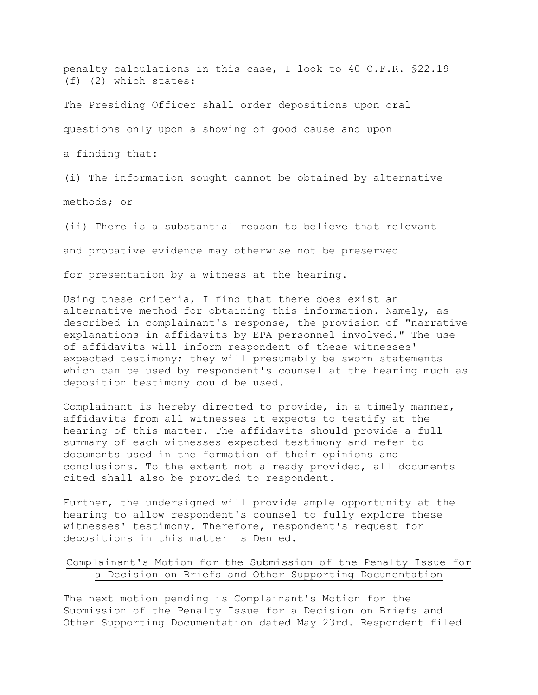penalty calculations in this case, I look to 40 C.F.R. §22.19 (f) (2) which states:

The Presiding Officer shall order depositions upon oral

questions only upon a showing of good cause and upon

a finding that:

(i) The information sought cannot be obtained by alternative

methods; or

(ii) There is a substantial reason to believe that relevant

and probative evidence may otherwise not be preserved

for presentation by a witness at the hearing.

Using these criteria, I find that there does exist an alternative method for obtaining this information. Namely, as described in complainant's response, the provision of "narrative explanations in affidavits by EPA personnel involved." The use of affidavits will inform respondent of these witnesses' expected testimony; they will presumably be sworn statements which can be used by respondent's counsel at the hearing much as deposition testimony could be used.

Complainant is hereby directed to provide, in a timely manner, affidavits from all witnesses it expects to testify at the hearing of this matter. The affidavits should provide a full summary of each witnesses expected testimony and refer to documents used in the formation of their opinions and conclusions. To the extent not already provided, all documents cited shall also be provided to respondent.

Further, the undersigned will provide ample opportunity at the hearing to allow respondent's counsel to fully explore these witnesses' testimony. Therefore, respondent's request for depositions in this matter is Denied.

# Complainant's Motion for the Submission of the Penalty Issue for a Decision on Briefs and Other Supporting Documentation

The next motion pending is Complainant's Motion for the Submission of the Penalty Issue for a Decision on Briefs and Other Supporting Documentation dated May 23rd. Respondent filed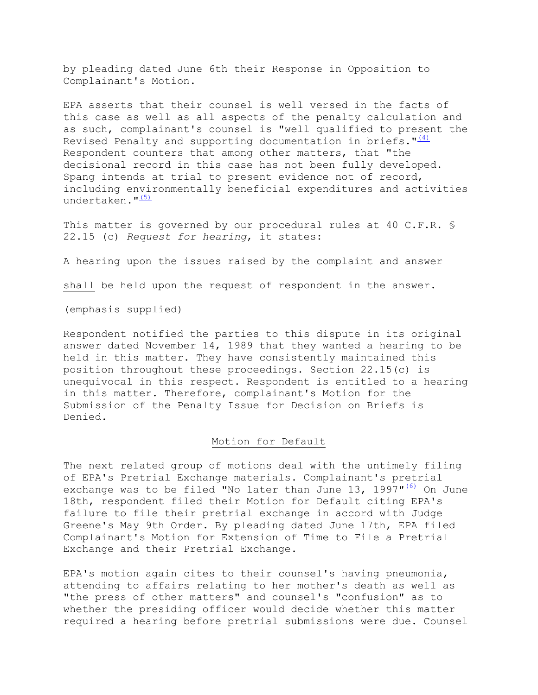by pleading dated June 6th their Response in Opposition to Complainant's Motion.

EPA asserts that their counsel is well versed in the facts of this case as well as all aspects of the penalty calculation and as such, complainant's counsel is "well qualified to present the Revised Penalty and supporting documentation in briefs.  $\frac{n(4)}{4}$ Respondent counters that among other matters, that "the decisional record in this case has not been fully developed. Spang intends at trial to present evidence not of record, including environmentally beneficial expenditures and activities undertaken. $\frac{15}{5}$ 

This matter is governed by our procedural rules at 40 C.F.R. \$ 22.15 (c) *Request for hearing*, it states:

A hearing upon the issues raised by the complaint and answer

shall be held upon the request of respondent in the answer.

(emphasis supplied)

Respondent notified the parties to this dispute in its original answer dated November 14, 1989 that they wanted a hearing to be held in this matter. They have consistently maintained this position throughout these proceedings. Section 22.15(c) is unequivocal in this respect. Respondent is entitled to a hearing in this matter. Therefore, complainant's Motion for the Submission of the Penalty Issue for Decision on Briefs is Denied.

### Motion for Default

The next related group of motions deal with the untimely filing of EPA's Pretrial Exchange materials. Complainant's pretrial exchange was to be filed "No later than June 13, 1997"<sup>(6)</sup> On June 18th, respondent filed their Motion for Default citing EPA's failure to file their pretrial exchange in accord with Judge Greene's May 9th Order. By pleading dated June 17th, EPA filed Complainant's Motion for Extension of Time to File a Pretrial Exchange and their Pretrial Exchange.

EPA's motion again cites to their counsel's having pneumonia, attending to affairs relating to her mother's death as well as "the press of other matters" and counsel's "confusion" as to whether the presiding officer would decide whether this matter required a hearing before pretrial submissions were due. Counsel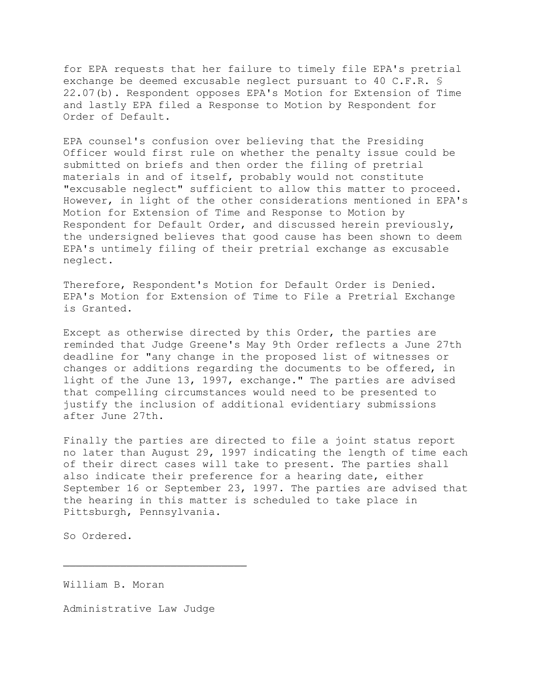for EPA requests that her failure to timely file EPA's pretrial exchange be deemed excusable neglect pursuant to 40 C.F.R. § 22.07(b). Respondent opposes EPA's Motion for Extension of Time and lastly EPA filed a Response to Motion by Respondent for Order of Default.

EPA counsel's confusion over believing that the Presiding Officer would first rule on whether the penalty issue could be submitted on briefs and then order the filing of pretrial materials in and of itself, probably would not constitute "excusable neglect" sufficient to allow this matter to proceed. However, in light of the other considerations mentioned in EPA's Motion for Extension of Time and Response to Motion by Respondent for Default Order, and discussed herein previously, the undersigned believes that good cause has been shown to deem EPA's untimely filing of their pretrial exchange as excusable neglect.

Therefore, Respondent's Motion for Default Order is Denied. EPA's Motion for Extension of Time to File a Pretrial Exchange is Granted.

Except as otherwise directed by this Order, the parties are reminded that Judge Greene's May 9th Order reflects a June 27th deadline for "any change in the proposed list of witnesses or changes or additions regarding the documents to be offered, in light of the June 13, 1997, exchange." The parties are advised that compelling circumstances would need to be presented to justify the inclusion of additional evidentiary submissions after June 27th.

Finally the parties are directed to file a joint status report no later than August 29, 1997 indicating the length of time each of their direct cases will take to present. The parties shall also indicate their preference for a hearing date, either September 16 or September 23, 1997. The parties are advised that the hearing in this matter is scheduled to take place in Pittsburgh, Pennsylvania.

So Ordered.

William B. Moran

Administrative Law Judge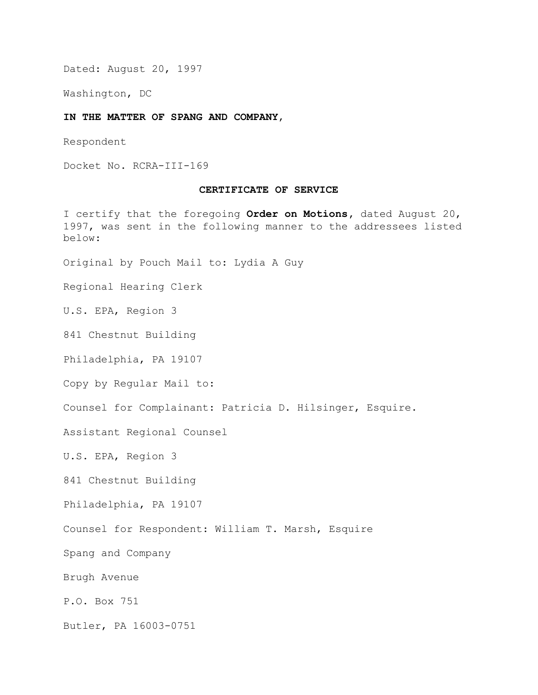Dated: August 20, 1997

Washington, DC

#### **IN THE MATTER OF SPANG AND COMPANY**,

Respondent

Docket No. RCRA-III-169

#### **CERTIFICATE OF SERVICE**

I certify that the foregoing **Order on Motions,** dated August 20, 1997, was sent in the following manner to the addressees listed below:

Original by Pouch Mail to: Lydia A Guy

Regional Hearing Clerk

U.S. EPA, Region 3

841 Chestnut Building

Philadelphia, PA 19107

Copy by Regular Mail to:

Counsel for Complainant: Patricia D. Hilsinger, Esquire.

Assistant Regional Counsel

U.S. EPA, Region 3

841 Chestnut Building

Philadelphia, PA 19107

Counsel for Respondent: William T. Marsh, Esquire

Spang and Company

Brugh Avenue

P.O. Box 751

Butler, PA 16003-0751